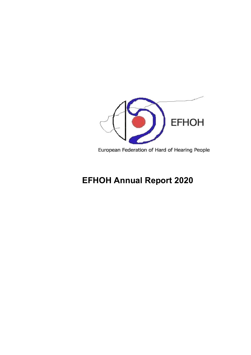

European Federation of Hard of Hearing People

# **EFHOH Annual Report 2020**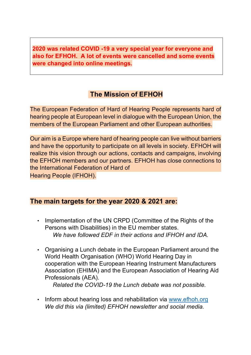**2020 was related COVID -19 a very special year for everyone and also for EFHOH. A lot of events were cancelled and some events were changed into online meetings.** 

# **The Mission of EFHOH**

The European Federation of Hard of Hearing People represents hard of hearing people at European level in dialogue with the European Union, the members of the European Parliament and other European authorities.

Our aim is a Europe where hard of hearing people can live without barriers and have the opportunity to participate on all levels in society. EFHOH will realize this vision through our actions, contacts and campaigns, involving the EFHOH members and our partners. EFHOH has close connections to the International Federation of Hard of

Hearing People (IFHOH).

#### **The main targets for the year 2020 & 2021 are:**

- Implementation of the UN CRPD (Committee of the Rights of the Persons with Disabilities) in the EU member states. *We have followed EDF in their actions and IFHOH and IDA.*
- Organising a Lunch debate in the European Parliament around the World Health Organisation (WHO) World Hearing Day in cooperation with the European Hearing Instrument Manufacturers Association (EHIMA) and the European Association of Hearing Aid Professionals (AEA).

*Related the COVID-19 the Lunch debate was not possible.*

• Inform about hearing loss and rehabilitation via www.efhoh.org *We did this via (limited) EFHOH newsletter and social media.*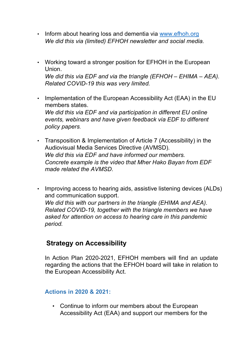- Inform about hearing loss and dementia via www.efhoh.org *We did this via (limited) EFHOH newsletter and social media.*
- Working toward a stronger position for EFHOH in the European Union. *We did this via EDF and via the triangle (EFHOH – EHIMA – AEA). Related COVID-19 this was very limited.*
- Implementation of the European Accessibility Act (EAA) in the EU members states. *We did this via EDF and via participation in different EU online events, webinars and have given feedback via EDF to different policy papers.*
- Transposition & Implementation of Article 7 (Accessibility) in the Audiovisual Media Services Directive (AVMSD). *We did this via EDF and have informed our members. Concrete example is the video that Mher Hako Bayan from EDF made related the AVMSD.*
- Improving access to hearing aids, assistive listening devices (ALDs) and communication support. *We did this with our partners in the triangle (EHIMA and AEA). Related COVID-19, together with the triangle members we have asked for attention on access to hearing care in this pandemic period.*

# **Strategy on Accessibility**

In Action Plan 2020-2021, EFHOH members will find an update regarding the actions that the EFHOH board will take in relation to the European Accessibility Act.

#### **Actions in 2020 & 2021:**

• Continue to inform our members about the European Accessibility Act (EAA) and support our members for the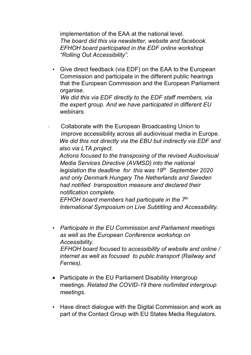implementation of the EAA at the national level. *The board did this via newsletter, website and facebook. EFHOH board participated in the EDF online workshop "Rolling Out Accessibility".* 

• Give direct feedback (via EDF) on the EAA to the European Commission and participate in the different public hearings that the European Commission and the European Parliament organise.

 *We did this via EDF directly to the EDF staff members, via the expert group. And we have participated in different EU webinars.* 

Collaborate with the European Broadcasting Union to improve accessibility across all audiovisual media in Europe. *We did this not directly via the EBU but indirectly via EDF and also via LTA project.*

 *Actions focused to the transposing of the revised Audiovisual Media Services Directive (AVMSD) into the national legislation the deadline for this was 19th September 2020 and only Denmark Hungary The Netherlands and Sweden had notified transposition measure and declared their notification complete.*

 *EFHOH board members had participate in the 7th International Symposium on Live Subtitling and Accessibility.* 

- *Participate in the EU Commission and Parliament meetings as well as the European Conference workshop on Accessibility. EFHOH board focused to accessibility of website and online / internet as well as focused to public transport (Railway and Ferries).*
- Participate in the EU Parliament Disability Intergroup meetings. *Related the COVID-19 there no/limited intergroup meetings.*
- Have direct dialogue with the Digital Commission and work as part of the Contact Group with EU States Media Regulators.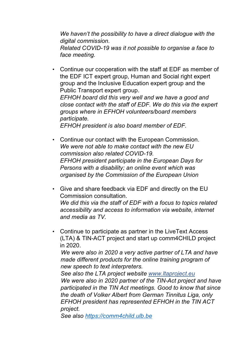*We haven't the possibility to have a direct dialogue with the digital commission. Related COVID-19 was it not possible to organise a face to face meeting.* 

• Continue our cooperation with the staff at EDF as member of the EDF ICT expert group, Human and Social right expert group and the Inclusive Education expert group and the Public Transport expert group. *EFHOH board did this very well and we have a good and close contact with the staff of EDF. We do this via the expert groups where in EFHOH volunteers/board members* 

*participate. EFHOH president is also board member of EDF.*

- Continue our contact with the European Commission. *We were not able to make contact with the new EU commission also related COVID-19. EFHOH president participate in the European Days for Persons with a disability; an online event which was organised by the Commission of the European Union*
- Give and share feedback via EDF and directly on the EU Commission consultation. *We did this via the staff of EDF with a focus to topics related accessibility and access to information via website, internet and media as TV.*
- Continue to participate as partner in the LiveText Access (LTA) & TIN-ACT project and start up comm4CHILD project in 2020.

 *We were also in 2020 a very active partner of LTA and have made different products for the online training program of new speech to text interpreters.*

*See also the LTA project website www.ltaproject.eu We were also in 2020 partner of the TIN-Act project and have participated in the TIN Act meetings. Good to know that since the death of Volker Albert from German Tinnitus Liga, only EFHOH president has represented EFHOH in the TIN ACT project.* 

*See also https://comm4child.ulb.be*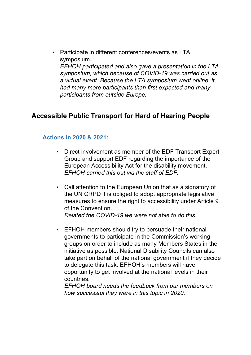• Participate in different conferences/events as LTA symposium. *EFHOH participated and also gave a presentation in the LTA symposium, which because of COVID-19 was carried out as a virtual event. Because the LTA symposium went online, it had many more participants than first expected and many participants from outside Europe.* 

# **Accessible Public Transport for Hard of Hearing People**

#### **Actions in 2020 & 2021:**

- Direct involvement as member of the EDF Transport Expert Group and support EDF regarding the importance of the European Accessibility Act for the disability movement. *EFHOH carried this out via the staff of EDF.*
- Call attention to the European Union that as a signatory of the UN CRPD it is obliged to adopt appropriate legislative measures to ensure the right to accessibility under Article 9 of the Convention. *Related the COVID-19 we were not able to do this.*
- EFHOH members should try to persuade their national governments to participate in the Commission's working groups on order to include as many Members States in the initiative as possible. National Disability Councils can also take part on behalf of the national government if they decide to delegate this task. EFHOH's members will have opportunity to get involved at the national levels in their countries.

*EFHOH board needs the feedback from our members on how successful they were in this topic in 2020.*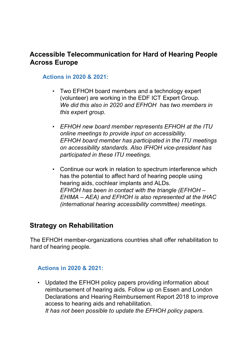# **Accessible Telecommunication for Hard of Hearing People Across Europe**

#### **Actions in 2020 & 2021:**

- Two EFHOH board members and a technology expert (volunteer) are working in the EDF ICT Expert Group. *We did this also in 2020 and EFHOH has two members in this expert group.*
- *EFHOH new board member represents EFHOH at the ITU online meetings to provide input on accessibility. EFHOH board member has participated in the ITU meetings on accessibility standards. Also IFHOH vice-president has participated in these ITU meetings.*
- Continue our work in relation to spectrum interference which has the potential to affect hard of hearing people using hearing aids, cochlear implants and ALDs. *EFHOH has been in contact with the triangle (EFHOH – EHIMA – AEA) and EFHOH is also represented at the IHAC (international hearing accessibility committee) meetings*.

### **Strategy on Rehabilitation**

The EFHOH member-organizations countries shall offer rehabilitation to hard of hearing people.

#### **Actions in 2020 & 2021:**

• Updated the EFHOH policy papers providing information about reimbursement of hearing aids. Follow up on Essen and London Declarations and Hearing Reimbursement Report 2018 to improve access to hearing aids and rehabilitation. *It has not been possible to update the EFHOH policy papers.*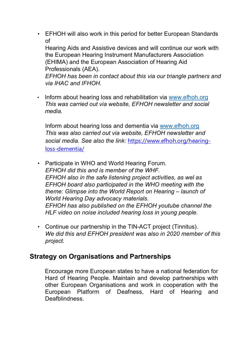• EFHOH will also work in this period for better European Standards of

Hearing Aids and Assistive devices and will continue our work with the European Hearing Instrument Manufacturers Association (EHIMA) and the European Association of Hearing Aid Professionals (AEA).

*EFHOH has been in contact about this via our triangle partners and via IHAC and IFHOH.*

• Inform about hearing loss and rehabilitation via www.efhoh.org *This was carried out via website, EFHOH newsletter and social media.*

Inform about hearing loss and dementia via www.efhoh.org *This was also carried out via website, EFHOH newsletter and social media. See also the link:* https://www.efhoh.org/hearingloss-dementia/

- Participate in WHO and World Hearing Forum. *EFHOH did this and is member of the WHF. EFHOH also in the safe listening project activities, as wel as EFHOH board also participated in the WHO meeting with the theme: Glimpse into the World Report on Hearing – launch of World Hearing Day advocacy materials. EFHOH has also published on the EFHOH youtube channel the HLF video on noise included hearing loss in young people.*
- Continue our partnership in the TIN-ACT project (Tinnitus). *We did this and EFHOH president was also in 2020 member of this project.*

### **Strategy on Organisations and Partnerships**

Encourage more European states to have a national federation for Hard of Hearing People. Maintain and develop partnerships with other European Organisations and work in cooperation with the European Platform of Deafness, Hard of Hearing and Deafblindness.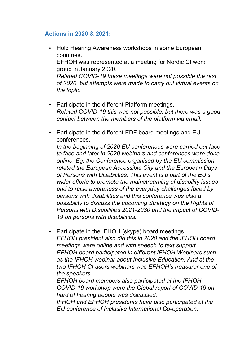#### **Actions in 2020 & 2021:**

- Hold Hearing Awareness workshops in some European countries. EFHOH was represented at a meeting for Nordic CI work group in January 2020. *Related COVID-19 these meetings were not possible the rest of 2020, but attempts were made to carry out virtual events on the topic.*
- Participate in the different Platform meetings. *Related COVID-19 this was not possible, but there was a good contact between the members of the platform via email.*
- Participate in the different EDF board meetings and EU conferences.

*In the beginning of 2020 EU conferences were carried out face to face and later in 2020 webinars and conferences were done online. Eg. the Conference organised by the EU commission related the European Accessible City and the European Days of Persons with Disabilities. This event is a part of the EU's wider efforts to promote the mainstreaming of disability issues and to raise awareness of the everyday challenges faced by persons with disabilities and this conference was also a possibility to discuss the upcoming Strategy on the Rights of Persons with Disabilities 2021-2030 and the impact of COVID-19 on persons with disabilities.*

• Participate in the IFHOH (skype) board meetings. *EFHOH president also did this in 2020 and the IFHOH board meetings were online and with speech to text support. EFHOH board participated in different IFHOH Webinars such as the IFHOH webinar about Inclusive Education. And at the two IFHOH CI users webinars was EFHOH's treasurer one of the speakers.*

*EFHOH board members also participated at the IFHOH COVID-19 workshop were the Global report of COVID-19 on hard of hearing people was discussed.*

*IFHOH and EFHOH presidents have also participated at the EU conference of Inclusive International Co-operation.*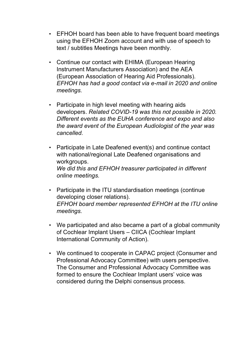- EFHOH board has been able to have frequent board meetings using the EFHOH Zoom account and with use of speech to text / subtitles Meetings have been monthly.
- Continue our contact with EHIMA (European Hearing Instrument Manufacturers Association) and the AEA (European Association of Hearing Aid Professionals). *EFHOH has had a good contact via e-mail in 2020 and online meetings.*
- Participate in high level meeting with hearing aids developers. *Related COVID-19 was this not possible in 2020. Different events as the EUHA conference and expo and also the award event of the European Audiologist of the year was cancelled.*
- Participate in Late Deafened event(s) and continue contact with national/regional Late Deafened organisations and workgroups. *We did this and EFHOH treasurer participated in different online meetings.*
- Participate in the ITU standardisation meetings (continue developing closer relations). *EFHOH board member represented EFHOH at the ITU online meetings.*
- We participated and also became a part of a global community of Cochlear Implant Users – CIICA (Cochlear Implant International Community of Action).
- We continued to cooperate in CAPAC project (Consumer and Professional Advocacy Committee) with users perspective. The Consumer and Professional Advocacy Committee was formed to ensure the Cochlear Implant users' voice was considered during the Delphi consensus process.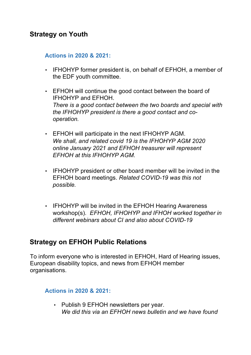# **Strategy on Youth**

#### **Actions in 2020 & 2021:**

- IFHOHYP former president is, on behalf of EFHOH, a member of the EDF youth committee.
- EFHOH will continue the good contact between the board of IFHOHYP and EFHOH. *There is a good contact between the two boards and special with the IFHOHYP president is there a good contact and cooperation.*
- EFHOH will participate in the next IFHOHYP AGM. *We shall, and related covid 19 is the IFHOHYP AGM 2020 online January 2021 and EFHOH treasurer will represent EFHOH at this IFHOHYP AGM.*
- IFHOHYP president or other board member will be invited in the EFHOH board meetings. *Related COVID-19 was this not possible.*
- IFHOHYP will be invited in the EFHOH Hearing Awareness workshop(s). *EFHOH, IFHOHYP and IFHOH worked together in different webinars about CI and also about COVID-19*

### **Strategy on EFHOH Public Relations**

To inform everyone who is interested in EFHOH, Hard of Hearing issues, European disability topics, and news from EFHOH member organisations.

#### **Actions in 2020 & 2021:**

• Publish 9 EFHOH newsletters per year. *We did this via an EFHOH news bulletin and we have found*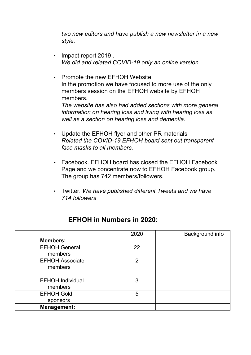*two new editors and have publish a new newsletter in a new style.*

- Impact report 2019 . *We did and related COVID-19 only an online version.*
- Promote the new EFHOH Website. In the promotion we have focused to more use of the only members session on the EFHOH website by EFHOH members. *The website has also had added sections with more general information on hearing loss and living with hearing loss as well as a section on hearing loss and dementia.*
- Update the EFHOH flyer and other PR materials *Related the COVID-19 EFHOH board sent out transparent face masks to all members.*
- Facebook. EFHOH board has closed the EFHOH Facebook Page and we concentrate now to EFHOH Facebook group. The group has 742 members/followers.
- Twitter. *We have published different Tweets and we have 714 followers*

### **EFHOH in Numbers in 2020:**

|                         | 2020         | Background info |
|-------------------------|--------------|-----------------|
| <b>Members:</b>         |              |                 |
| <b>EFHOH General</b>    | 22           |                 |
| members                 |              |                 |
| <b>EFHOH Associate</b>  | $\mathcal P$ |                 |
| members                 |              |                 |
|                         |              |                 |
| <b>EFHOH Individual</b> | 3            |                 |
| members                 |              |                 |
| <b>EFHOH Gold</b>       | 5            |                 |
| sponsors                |              |                 |
| <b>Management:</b>      |              |                 |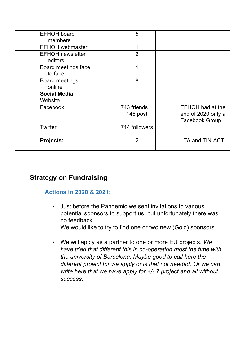| <b>EFHOH board</b>      | 5              |                         |
|-------------------------|----------------|-------------------------|
| members                 |                |                         |
| <b>EFHOH</b> webmaster  | 1              |                         |
| <b>EFHOH</b> newsletter | $\overline{2}$ |                         |
| editors                 |                |                         |
| Board meetings face     | 1              |                         |
| to face                 |                |                         |
| <b>Board meetings</b>   | 8              |                         |
| online                  |                |                         |
| <b>Social Media</b>     |                |                         |
| Website                 |                |                         |
| Facebook                | 743 friends    | <b>EFHOH</b> had at the |
|                         | 146 post       | end of 2020 only a      |
|                         |                | <b>Facebook Group</b>   |
| <b>Twitter</b>          | 714 followers  |                         |
|                         |                |                         |
| <b>Projects:</b>        | $\overline{2}$ | <b>LTA and TIN-ACT</b>  |
|                         |                |                         |

# **Strategy on Fundraising**

#### **Actions in 2020 & 2021:**

• Just before the Pandemic we sent invitations to various potential sponsors to support us, but unfortunately there was no feedback.

We would like to try to find one or two new (Gold) sponsors.

• We will apply as a partner to one or more EU projects. *We have tried that different this in co-operation most the time with the university of Barcelona. Maybe good to call here the different project for we apply or is that not needed. Or we can write here that we have apply for +/- 7 project and all without success.*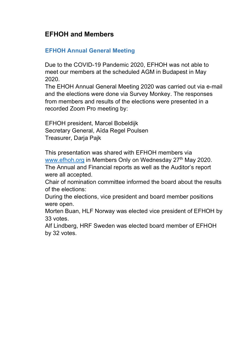# **EFHOH and Members**

#### **EFHOH Annual General Meeting**

Due to the COVID-19 Pandemic 2020, EFHOH was not able to meet our members at the scheduled AGM in Budapest in May 2020.

The EHOH Annual General Meeting 2020 was carried out via e-mail and the elections were done via Survey Monkey. The responses from members and results of the elections were presented in a recorded Zoom Pro meeting by:

EFHOH president, Marcel Bobeldijk Secretary General, Aïda Regel Poulsen Treasurer, Darja Pajk

This presentation was shared with EFHOH members via www.efhoh.org in Members Only on Wednesday 27<sup>th</sup> May 2020. The Annual and Financial reports as well as the Auditor's report were all accepted.

Chair of nomination committee informed the board about the results of the elections:

During the elections, vice president and board member positions were open.

Morten Buan, HLF Norway was elected vice president of EFHOH by 33 votes.

Alf Lindberg, HRF Sweden was elected board member of EFHOH by 32 votes.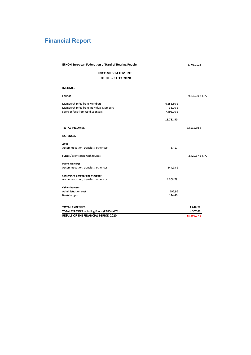# **Financial Report**

| <b>EFHOH European Federation of Hard of Hearing People</b> | 17.01.2021 |
|------------------------------------------------------------|------------|
|------------------------------------------------------------|------------|

#### **INCOME STATEMENT 01.01. - 31.12.2020**

#### **INCOMES**

| Founds                                     |           | 9.235,00 € LTA |
|--------------------------------------------|-----------|----------------|
| Membership fee from Members                | 6.253,50€ |                |
| Membership fee from Individual Members     | 33,00€    |                |
| Sponsor fees from Gold Sponsors            | 7.495,00€ |                |
|                                            | 13.781,50 |                |
| <b>TOTAL INCOMES</b>                       |           | 23.016,50€     |
| <b>EXPENSES</b>                            |           |                |
| <b>AGM</b>                                 |           |                |
| Accommodation, transfers, other cost       | 87,17     |                |
| Funds / events paid with founds            |           | 2.429,37 € LTA |
| <b>Board Meetings</b>                      |           |                |
| Accommodation, transfers, other cost       | 344,95€   |                |
| <b>Conference, Seminar and Meetings</b>    |           |                |
| Accommodation, transfers, other cost       | 1.308,78  |                |
| <b>Other Expenses</b>                      |           |                |
| <b>Administration cost</b>                 | 192,96    |                |
| <b>Bankcharges</b>                         | 144,40    |                |
| <b>TOTAL EXPENSES</b>                      |           | 2.078,26       |
| TOTAL EXPENSES including Funds (EFHOH+LTA) |           | 4.507,63       |
| <b>RESULT OF THE FINANCIAL PERIOD 2020</b> |           | 18.509,07€     |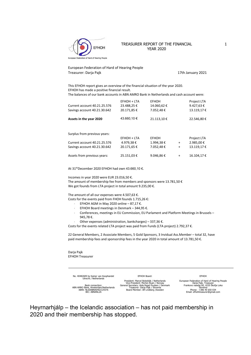

#### TREASURER REPORT OF THE FINANCIAL YEAR 2020

European Federation of Hard of Hearing People Treasurer: Darja Pajk 17th January 2021

This EFHOH report gives an overview of the financial situation of the year 2020. EFHOH has made a positive financial result. The balances of our bank accounts in ABN AMRO Bank in Netherlands and cash account were:

|                              | EFHOH + LTA | <b>EFHOH</b> |           | <b>Project LTA</b> |
|------------------------------|-------------|--------------|-----------|--------------------|
| Current account 40.21.25.576 | 23.488,25€  | 14.060,62€   |           | 9.427,63€          |
| Savings account 40.21.30.642 | 20.171,85€  | 7.052,48€    |           | 13.119,17€         |
| Assets in the year 2020      | 43.660.10 € | 21.113,10€   |           | 22.546,80€         |
|                              |             |              |           |                    |
| Surplus from previous years: |             |              |           |                    |
|                              | EFHOH + LTA | <b>EFHOH</b> |           | Project LTA        |
| Current account 40.21.25.576 | 4.979.38€   | 1.994,38€    | $\ddot{}$ | 2.985,00 €         |
| Savings account 40.21.30.642 | 20.171.65€  | 7.052.48€    | $\ddot{}$ | 13.119.17€         |
| Assets from previous years:  | 25.151.03€  | 9.046.86€    | $\ddot{}$ | 16.104.17€         |

At 31thDecember 2020 EFHOH had own 43.660,10 €.

Incomes in year 2020 were EUR 23.016,50 €. The amount of membership fee from members and sponsors were 13.781,50  $\epsilon$ We got founds from LTA project in total amount 9.235,00 €.

The amount of all our expenses were 4.507,63 €. Costs for the events paid from FHOH founds 1.715,26 €:

- EFHOH AGM in May 2020 online 87,17 €.
- EFHOH Board meetings in Denmark 344,95 €.
- Conferences, meetings in EU Commission, EU Parlament and Platform Meetings in Brussels 945,78 €.
- Other expenses (administration, bankcharges) 337,36 €.
- Costs for the events related LTA project was paid from Funds (LTA project) 2.792,37 €.

22 General Members, 2 Associate Members, 5 Gold Sponsors, 3 Invidual Ass.Member – total 32, have paid membership fees and sponsorship fees in the year 2020 in total amount of 13.781,50 €.

Darja Pajk EFHOH Treasurer

> No. 40482609 by Kamer van Koophandel Utrecht / Netherlands Bank connection:

ABN AMRO Bank, Amsterdam/Netherlands IBAN: NL50ABNA0402125576 BIC: ABNANL2A

EFHOH Board:

President: Marcel Bobeldijk / Netherlands Vice-President: Morten Buan / Norway General Secretary: Aida Regel Poulsen / Denmark Treasurer: Darja Pajk / Slovenia Board Member: Alf Lindberg /Sweden

EFHOH

European Federation of Hard of Hearing People<br>Darja Pajk, Treasurer<br>Slovenia<br>Slovenia<br>Phone: +386 40 650 034<br>Email: efhohtreasurer@gmail.com<br>Email: efhohtreasurer@gmail.com

Heyrnarhjálp – the Icelandic association – has not paid membership in 2020 and their membership has stopped.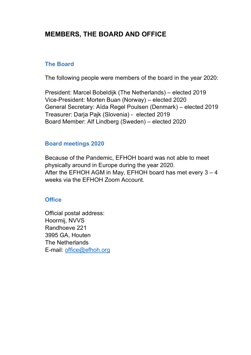# **MEMBERS, THE BOARD AND OFFICE**

#### **The Board**

The following people were members of the board in the year 2020:

President: Marcel Bobeldijk (The Netherlands) – elected 2019 Vice-President: Morten Buan (Norway) – elected 2020 General Secretary: Aïda Regel Poulsen (Denmark) – elected 2019 Treasurer: Darja Pajk (Slovenia) - elected 2019 Board Member: Alf Lindberg (Sweden) – elected 2020

#### **Board meetings 2020**

Because of the Pandemic, EFHOH board was not able to meet physically around in Europe during the year 2020. After the EFHOH AGM in May, EFHOH board has met every 3 – 4 weeks via the EFHOH Zoom Account.

#### **Office**

Official postal address: Hoormij, NVVS Randhoeve 221 3995 GA, Houten The Netherlands E-mail: office@efhoh.org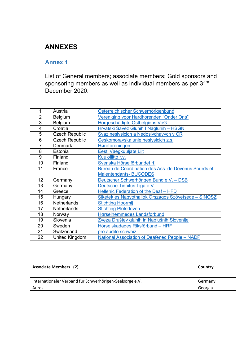# **ANNEXES**

#### **Annex 1**

List of General members; associate members; Gold sponsors and sponsoring members as well as individual members as per 31<sup>st</sup> December 2020.

| 1               | Austria               | Österreichischer Schwerhörigenbund                   |
|-----------------|-----------------------|------------------------------------------------------|
| $\overline{2}$  | Belgium               | Vereniging voor Hardhorenden "Onder Ons"             |
| 3               | Belgium               | Hörgeschädigte Ostbelgiens VoG                       |
| 4               | Croatia               | Hrvatski Savez Gluhih I Nagluhih - HSGN              |
| 5               | <b>Czech Republic</b> | Svaz neslysicich a Nedoslychavych v CR               |
| 6               | <b>Czech Republic</b> | Ceskomoravska unie neslysicich z.s.                  |
| 7               | <b>Denmark</b>        | Høreforeningen                                       |
| 8               | Estonia               | Eesti Vaegkuuljate Liit                              |
| 9               | Finland               | Kuuloliitto r.y.                                     |
| 10              | Finland               | Svenska Hörselförbundet rf.                          |
| 11              | France                | Bureau de Coordination des Ass. de Devenus Sourds et |
|                 |                       | <b>Malentendants-BUCODES</b>                         |
| 12 <sup>2</sup> | Germany               | Deutscher Schwerhörigen Bund e.V. - DSB              |
| 13              | Germany               | Deutsche Tinnitus-Liga e.V.                          |
| 14              | Greece                | Hellenic Federation of the Deaf - HFD                |
| 15              | Hungary               | Siketek es Nagyothallok Orszagos Szövetsege - SINOSZ |
| 16              | Netherlands           | <b>Stichting Hoormij</b>                             |
| 17              | <b>Netherlands</b>    | <b>Stichting Plotsdoven</b>                          |
| 18              | Norway                | <b>Hørselhemmedes Landsforbund</b>                   |
| 19              | Slovenia              | Zveza Društev gluhih in Naglušnih Slovenije          |
| 20              | Sweden                | Hörselskadades Riksförbund - HRF                     |
| 21              | Switzerland           | pro audito schweiz                                   |
| 22              | United Kingdom        | National Association of Deafened People - NADP       |

| <b>Associate Members (2)</b>                             | Country |
|----------------------------------------------------------|---------|
| Internationaler Verband für Schwerhörigen-Seelsorge e.V. | Germany |
| Aures                                                    | Georgia |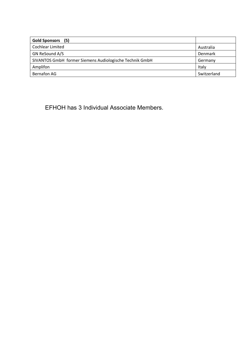| Gold Sponsors (5)                                       |             |
|---------------------------------------------------------|-------------|
| Cochlear Limited                                        | Australia   |
| GN ReSound A/S                                          | Denmark     |
| SIVANTOS GmbH former Siemens Audiologische Technik GmbH | Germany     |
| Amplifon                                                | Italy       |
| Bernafon AG                                             | Switzerland |

EFHOH has 3 Individual Associate Members.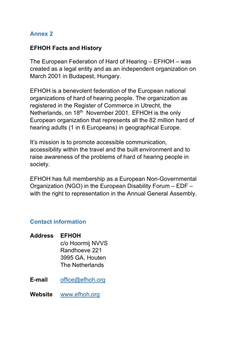#### **Annex 2**

#### **EFHOH Facts and History**

The European Federation of Hard of Hearing – EFHOH – was created as a legal entity and as an independent organization on March 2001 in Budapest, Hungary.

EFHOH is a benevolent federation of the European national organizations of hard of hearing people. The organization as registered in the Register of Commerce in Utrecht, the Netherlands, on 18<sup>th</sup> November 2001. EFHOH is the only European organization that represents all the 82 million hard of hearing adults (1 in 6 Europeans) in geographical Europe.

It's mission is to promote accessible communication, accessibility within the travel and the built environment and to raise awareness of the problems of hard of hearing people in society.

EFHOH has full membership as a European Non-Governmental Organization (NGO) in the European Disability Forum – EDF – with the right to representation in the Annual General Assembly.

#### **Contact information**

| <b>Address</b> | <b>EFHOH</b>     |
|----------------|------------------|
|                | c/o Hoormij NVVS |
|                | Randhoeve 221    |
|                | 3995 GA, Houten  |
|                | The Netherlands  |
|                |                  |

**E-mail** office@efhoh.org

**Website** www.efhoh.org